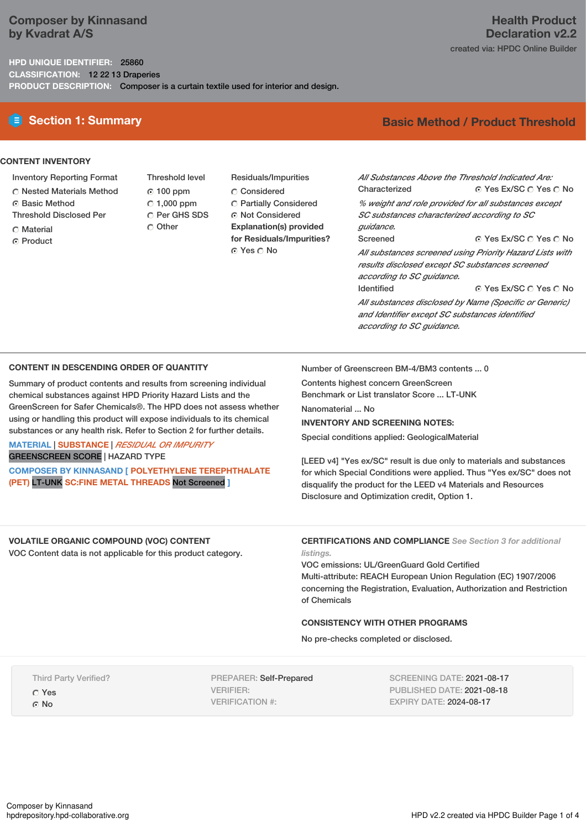## **Composer by Kinnasand by Kvadrat A/S**

## **HPD UNIQUE IDENTIFIER:** 25860 **CLASSIFICATION:** 12 22 13 Draperies **PRODUCT DESCRIPTION:** Composer is a curtain textile used for interior and design.

# **Health Product Declaration v2.2**

created via: HPDC Online Builder

**E** Section 1: Summary **Basic** Method / Product Threshold

## **CONTENT INVENTORY**

- Inventory Reporting Format
- Nested Materials Method
- Basic Method
- Threshold Disclosed Per
- C Material
- ⊙ Product

Threshold level 100 ppm  $C$  1,000 ppm C Per GHS SDS Other

Residuals/Impurities Considered Partially Considered Not Considered **Explanation(s) provided for Residuals/Impurities?** ⊙ Yes O No

#### © Yes Ex/SC  $\bigcirc$  Yes  $\bigcirc$  No © Yes Ex/SC C Yes C No *All Substances Above the Threshold Indicated Are:* Characterized *% weight and role provided for all substances except SC substances characterized according to SC guidance.* Screened *All substances screened using Priority Hazard Lists with results disclosed except SC substances screened*

G Yes Ex/SC O Yes O No. *according to SC guidance.* Identified *All substances disclosed by Name (Specific or Generic) and Identifier except SC substances identified according to SC guidance.*

## **CONTENT IN DESCENDING ORDER OF QUANTITY**

Summary of product contents and results from screening individual chemical substances against HPD Priority Hazard Lists and the GreenScreen for Safer Chemicals®. The HPD does not assess whether using or handling this product will expose individuals to its chemical substances or any health risk. Refer to Section 2 for further details.

# **MATERIAL** | **SUBSTANCE** | *RESIDUAL OR IMPURITY*

GREENSCREEN SCORE | HAZARD TYPE

**COMPOSER BY KINNASAND [ POLYETHYLENE TEREPHTHALATE (PET)** LT-UNK **SC:FINE METAL THREADS** Not Screened **]**

Number of Greenscreen BM-4/BM3 contents ... 0

Contents highest concern GreenScreen Benchmark or List translator Score ... LT-UNK

Nanomaterial ... No

## **INVENTORY AND SCREENING NOTES:**

Special conditions applied: GeologicalMaterial

[LEED v4] "Yes ex/SC" result is due only to materials and substances for which Special Conditions were applied. Thus "Yes ex/SC" does not disqualify the product for the LEED v4 Materials and Resources Disclosure and Optimization credit, Option 1.

**VOLATILE ORGANIC COMPOUND (VOC) CONTENT** VOC Content data is not applicable for this product category.

**CERTIFICATIONS AND COMPLIANCE** *See Section 3 for additional listings.*

VOC emissions: UL/GreenGuard Gold Certified Multi-attribute: REACH European Union Regulation (EC) 1907/2006 concerning the Registration, Evaluation, Authorization and Restriction of Chemicals

## **CONSISTENCY WITH OTHER PROGRAMS**

No pre-checks completed or disclosed.

Third Party Verified? Yes ⊙ No

PREPARER: Self-Prepared VERIFIER: VERIFICATION #:

SCREENING DATE: 2021-08-17 PUBLISHED DATE: 2021-08-18 EXPIRY DATE: 2024-08-17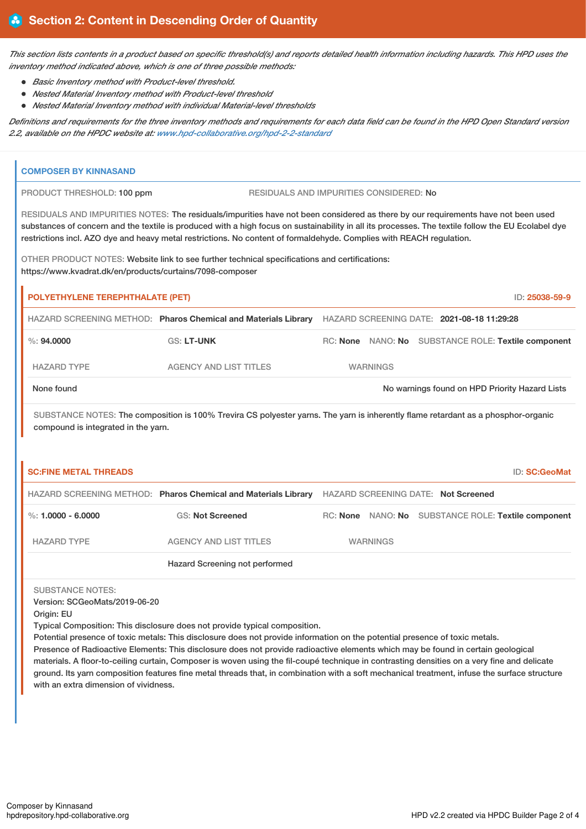This section lists contents in a product based on specific threshold(s) and reports detailed health information including hazards. This HPD uses the *inventory method indicated above, which is one of three possible methods:*

- *Basic Inventory method with Product-level threshold.*
- *Nested Material Inventory method with Product-level threshold*
- *Nested Material Inventory method with individual Material-level thresholds*

Definitions and requirements for the three inventory methods and requirements for each data field can be found in the HPD Open Standard version *2.2, available on the HPDC website at: [www.hpd-collaborative.org/hpd-2-2-standard](https://www.hpd-collaborative.org/hpd-2-2-standard)*

| <b>COMPOSER BY KINNASAND</b>                                        |                                                                                                                                                                                                                                                                                                                                                                                                                                                                                                                  |  |                 |                                                |                                                     |  |  |
|---------------------------------------------------------------------|------------------------------------------------------------------------------------------------------------------------------------------------------------------------------------------------------------------------------------------------------------------------------------------------------------------------------------------------------------------------------------------------------------------------------------------------------------------------------------------------------------------|--|-----------------|------------------------------------------------|-----------------------------------------------------|--|--|
| PRODUCT THRESHOLD: 100 ppm                                          | RESIDUALS AND IMPURITIES CONSIDERED: No                                                                                                                                                                                                                                                                                                                                                                                                                                                                          |  |                 |                                                |                                                     |  |  |
| https://www.kvadrat.dk/en/products/curtains/7098-composer           | RESIDUALS AND IMPURITIES NOTES: The residuals/impurities have not been considered as there by our requirements have not been used<br>substances of concern and the textile is produced with a high focus on sustainability in all its processes. The textile follow the EU Ecolabel dye<br>restrictions incl. AZO dye and heavy metal restrictions. No content of formaldehyde. Complies with REACH regulation.<br>OTHER PRODUCT NOTES: Website link to see further technical specifications and certifications: |  |                 |                                                |                                                     |  |  |
|                                                                     | POLYETHYLENE TEREPHTHALATE (PET)<br>ID: 25038-59-9                                                                                                                                                                                                                                                                                                                                                                                                                                                               |  |                 |                                                |                                                     |  |  |
|                                                                     | HAZARD SCREENING METHOD: Pharos Chemical and Materials Library HAZARD SCREENING DATE: 2021-08-18 11:29:28                                                                                                                                                                                                                                                                                                                                                                                                        |  |                 |                                                |                                                     |  |  |
| $\%$ : 94,0000                                                      | <b>GS: LT-UNK</b>                                                                                                                                                                                                                                                                                                                                                                                                                                                                                                |  |                 |                                                | RC: None NANO: No SUBSTANCE ROLE: Textile component |  |  |
| <b>HAZARD TYPE</b>                                                  | <b>AGENCY AND LIST TITLES</b>                                                                                                                                                                                                                                                                                                                                                                                                                                                                                    |  | <b>WARNINGS</b> |                                                |                                                     |  |  |
| None found                                                          |                                                                                                                                                                                                                                                                                                                                                                                                                                                                                                                  |  |                 | No warnings found on HPD Priority Hazard Lists |                                                     |  |  |
|                                                                     | SUBSTANCE NOTES: The composition is 100% Trevira CS polyester yarns. The yarn is inherently flame retardant as a phosphor-organic                                                                                                                                                                                                                                                                                                                                                                                |  |                 |                                                |                                                     |  |  |
| compound is integrated in the yarn.<br><b>SC:FINE METAL THREADS</b> | HAZARD SCREENING METHOD: Pharos Chemical and Materials Library HAZARD SCREENING DATE: Not Screened                                                                                                                                                                                                                                                                                                                                                                                                               |  |                 |                                                | ID: SC:GeoMat                                       |  |  |
| %: $1,0000 - 6,0000$                                                | <b>GS: Not Screened</b>                                                                                                                                                                                                                                                                                                                                                                                                                                                                                          |  |                 |                                                | RC: None NANO: No SUBSTANCE ROLE: Textile component |  |  |
| <b>HAZARD TYPE</b>                                                  | <b>AGENCY AND LIST TITLES</b>                                                                                                                                                                                                                                                                                                                                                                                                                                                                                    |  | <b>WARNINGS</b> |                                                |                                                     |  |  |
|                                                                     | Hazard Screening not performed                                                                                                                                                                                                                                                                                                                                                                                                                                                                                   |  |                 |                                                |                                                     |  |  |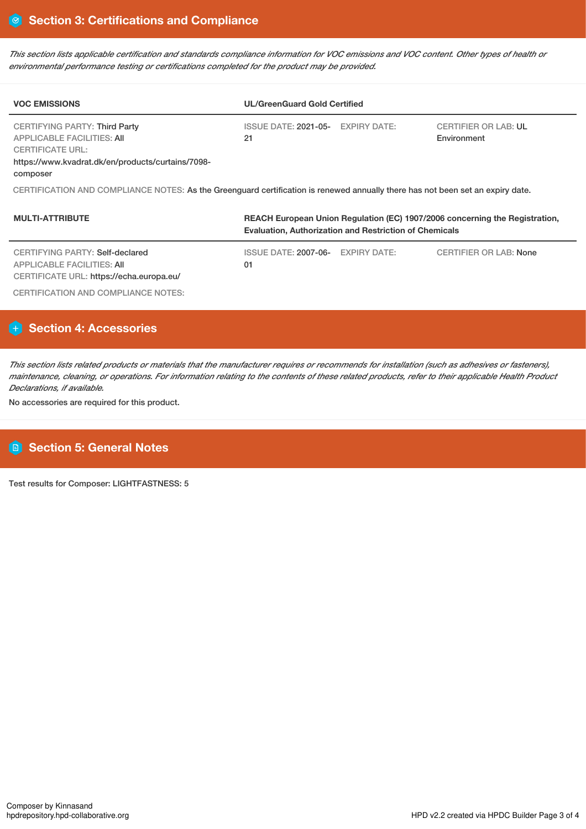This section lists applicable certification and standards compliance information for VOC emissions and VOC content. Other types of health or *environmental performance testing or certifications completed for the product may be provided.*

| <b>VOC EMISSIONS</b>                                                                                                                                           | <b>UL/GreenGuard Gold Certified</b>                                         |                                            |  |  |  |  |  |
|----------------------------------------------------------------------------------------------------------------------------------------------------------------|-----------------------------------------------------------------------------|--------------------------------------------|--|--|--|--|--|
| CERTIFYING PARTY: Third Party<br><b>APPLICABLE FACILITIES: AII</b><br><b>CERTIFICATE URL:</b><br>https://www.kvadrat.dk/en/products/curtains/7098-<br>composer | ISSUE DATE: 2021-05- EXPIRY DATE:<br>21                                     | <b>CERTIFIER OR LAB: UL</b><br>Environment |  |  |  |  |  |
| CERTIFICATION AND COMPLIANCE NOTES: As the Greenguard certification is renewed annually there has not been set an expiry date.                                 |                                                                             |                                            |  |  |  |  |  |
| <b>MULTI-ATTRIBUTE</b>                                                                                                                                         | REACH European Union Regulation (EC) 1907/2006 concerning the Registration, |                                            |  |  |  |  |  |

|                                                                                                           | <b>Evaluation, Authorization and Restriction of Chemicals</b> |  |                               |  |  |
|-----------------------------------------------------------------------------------------------------------|---------------------------------------------------------------|--|-------------------------------|--|--|
| CERTIFYING PARTY: Self-declared<br>APPLICABLE FACILITIES: AII<br>CERTIFICATE URL: https://echa.europa.eu/ | ISSUE DATE: 2007-06- EXPIRY DATE:<br>01                       |  | <b>CERTIFIER OR LAB: None</b> |  |  |
| CERTIFICATION AND COMPLIANCE NOTES:                                                                       |                                                               |  |                               |  |  |

# **Section 4: Accessories**

This section lists related products or materials that the manufacturer requires or recommends for installation (such as adhesives or fasteners), maintenance, cleaning, or operations. For information relating to the contents of these related products, refer to their applicable Health Product *Declarations, if available.*

No accessories are required for this product.

# **Section 5: General Notes**

Test results for Composer: LIGHTFASTNESS: 5